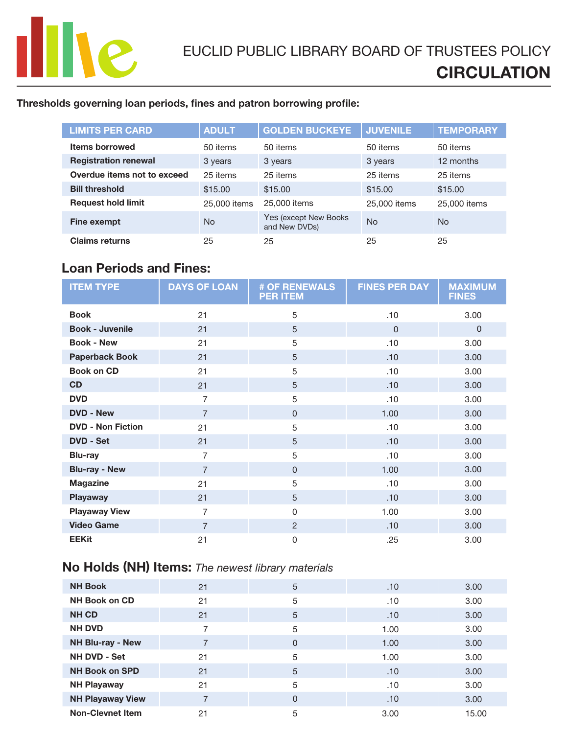

## Thresholds governing loan periods, fines and patron borrowing profile:

| <b>LIMITS PER CARD</b>      | <b>ADULT</b> | <b>GOLDEN BUCKEYE</b>                   | <b>JUVENILE</b> | <b>TEMPORARY</b> |
|-----------------------------|--------------|-----------------------------------------|-----------------|------------------|
| <b>Items borrowed</b>       | 50 items     | 50 items                                | 50 items        | 50 items         |
| <b>Registration renewal</b> | 3 years      | 3 years                                 | 3 years         | 12 months        |
| Overdue items not to exceed | 25 items     | 25 items                                | 25 items        | 25 items         |
| <b>Bill threshold</b>       | \$15,00      | \$15.00                                 | \$15,00         | \$15.00          |
| <b>Request hold limit</b>   | 25,000 items | 25,000 items                            | 25,000 items    | 25,000 items     |
| <b>Fine exempt</b>          | <b>No</b>    | Yes (except New Books)<br>and New DVDs) | <b>No</b>       | No.              |
| <b>Claims returns</b>       | 25           | 25                                      | 25              | 25               |

# Loan Periods and Fines:

| <b>ITEM TYPE</b>         | <b>DAYS OF LOAN</b> | <b># OF RENEWALS</b><br><b>PER ITEM</b> | <b>FINES PER DAY</b> | <b>MAXIMUM</b><br><b>FINES</b> |
|--------------------------|---------------------|-----------------------------------------|----------------------|--------------------------------|
| <b>Book</b>              | 21                  | 5                                       | .10                  | 3.00                           |
| <b>Book - Juvenile</b>   | 21                  | 5                                       | $\Omega$             | $\Omega$                       |
| <b>Book - New</b>        | 21                  | 5                                       | .10                  | 3.00                           |
| <b>Paperback Book</b>    | 21                  | 5                                       | .10                  | 3.00                           |
| <b>Book on CD</b>        | 21                  | 5                                       | .10                  | 3.00                           |
| <b>CD</b>                | 21                  | 5                                       | .10                  | 3.00                           |
| <b>DVD</b>               | $\overline{7}$      | 5                                       | .10                  | 3.00                           |
| <b>DVD - New</b>         | $\overline{7}$      | $\Omega$                                | 1.00                 | 3.00                           |
| <b>DVD - Non Fiction</b> | 21                  | 5                                       | .10                  | 3.00                           |
| <b>DVD - Set</b>         | 21                  | 5                                       | .10                  | 3.00                           |
| <b>Blu-ray</b>           | $\overline{7}$      | 5                                       | .10                  | 3.00                           |
| <b>Blu-ray - New</b>     | $\overline{7}$      | $\mathbf 0$                             | 1.00                 | 3.00                           |
| <b>Magazine</b>          | 21                  | 5                                       | .10                  | 3.00                           |
| <b>Playaway</b>          | 21                  | 5                                       | .10                  | 3.00                           |
| <b>Playaway View</b>     | 7                   | $\Omega$                                | 1.00                 | 3.00                           |
| <b>Video Game</b>        | $\overline{7}$      | $\overline{2}$                          | .10                  | 3.00                           |
| <b>EEKit</b>             | 21                  | $\Omega$                                | .25                  | 3.00                           |

# No Holds (NH) Items: *The newest library materials*

| <b>NH Book</b>          | 21 | 5        | .10  | 3.00  |
|-------------------------|----|----------|------|-------|
| <b>NH Book on CD</b>    | 21 | 5        | .10  | 3.00  |
| <b>NH CD</b>            | 21 | 5        | .10  | 3.00  |
| <b>NH DVD</b>           | 7  | 5        | 1.00 | 3.00  |
| NH Blu-ray - New        |    | $\Omega$ | 1.00 | 3.00  |
| NH DVD - Set            | 21 | 5        | 1.00 | 3.00  |
| <b>NH Book on SPD</b>   | 21 | 5        | .10  | 3.00  |
| <b>NH Playaway</b>      | 21 | 5        | .10  | 3.00  |
| <b>NH Playaway View</b> | 7  | $\Omega$ | .10  | 3.00  |
| <b>Non-Clevnet Item</b> | 21 | 5        | 3.00 | 15.00 |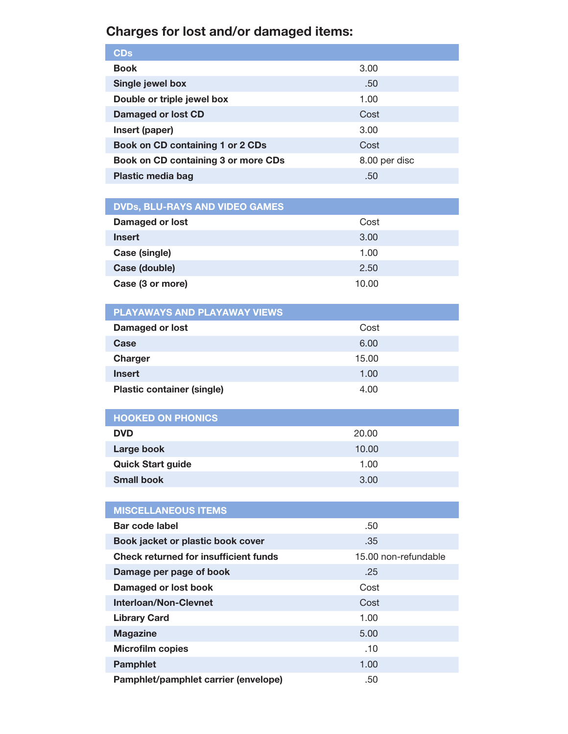# Charges for lost and/or damaged items:

| <b>CDs</b>                          |               |
|-------------------------------------|---------------|
| <b>Book</b>                         | 3.00          |
| Single jewel box                    | .50           |
| Double or triple jewel box          | 1.00          |
| Damaged or lost CD                  | Cost          |
| Insert (paper)                      | 3.00          |
| Book on CD containing 1 or 2 CDs    | Cost          |
| Book on CD containing 3 or more CDs | 8.00 per disc |
| <b>Plastic media bag</b>            | .50           |
|                                     |               |

| <b>DVDs, BLU-RAYS AND VIDEO GAMES</b> |       |  |
|---------------------------------------|-------|--|
| Damaged or lost                       | Cost  |  |
| <b>Insert</b>                         | 3.00  |  |
| Case (single)                         | 1.00  |  |
| Case (double)                         | 2.50  |  |
| Case (3 or more)                      | 10.00 |  |

| <b>PLAYAWAYS AND PLAYAWAY VIEWS</b> |       |  |  |
|-------------------------------------|-------|--|--|
| Damaged or lost                     | Cost  |  |  |
| Case                                | 6.00  |  |  |
| <b>Charger</b>                      | 15.00 |  |  |
| <b>Insert</b>                       | 1.00  |  |  |
| <b>Plastic container (single)</b>   | 4.00  |  |  |

| <b>HOOKED ON PHONICS</b> |       |
|--------------------------|-------|
| <b>DVD</b>               | 20.00 |
| Large book               | 10.00 |
| <b>Quick Start guide</b> | 1.00  |
| <b>Small book</b>        | 3.00  |

| <b>MISCELLANEOUS ITEMS</b>                   |                      |
|----------------------------------------------|----------------------|
| Bar code label                               | .50                  |
| Book jacket or plastic book cover            | .35                  |
| <b>Check returned for insufficient funds</b> | 15.00 non-refundable |
| Damage per page of book                      | .25                  |
| Damaged or lost book                         | Cost                 |
| Interloan/Non-Clevnet                        | Cost                 |
| <b>Library Card</b>                          | 1.00                 |
| <b>Magazine</b>                              | 5.00                 |
| <b>Microfilm copies</b>                      | .10                  |
| <b>Pamphlet</b>                              | 1.00                 |
| Pamphlet/pamphlet carrier (envelope)         | .50                  |